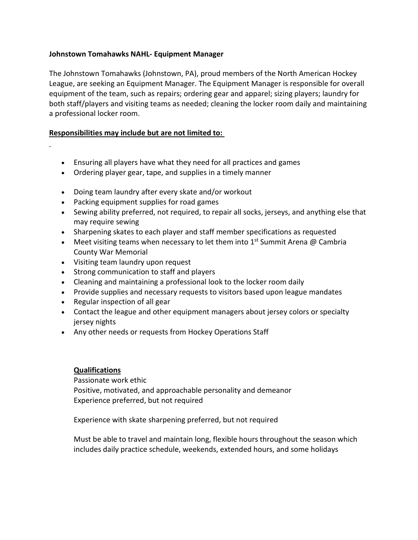## **Johnstown Tomahawks NAHL- Equipment Manager**

The Johnstown Tomahawks (Johnstown, PA), proud members of the North American Hockey League, are seeking an Equipment Manager. The Equipment Manager is responsible for overall equipment of the team, such as repairs; ordering gear and apparel; sizing players; laundry for both staff/players and visiting teams as needed; cleaning the locker room daily and maintaining a professional locker room.

## **Responsibilities may include but are not limited to:**

- Ensuring all players have what they need for all practices and games
- Ordering player gear, tape, and supplies in a timely manner
- Doing team laundry after every skate and/or workout
- Packing equipment supplies for road games
- Sewing ability preferred, not required, to repair all socks, jerseys, and anything else that may require sewing
- Sharpening skates to each player and staff member specifications as requested
- Meet visiting teams when necessary to let them into  $1<sup>st</sup>$  Summit Arena @ Cambria County War Memorial
- Visiting team laundry upon request
- Strong communication to staff and players
- Cleaning and maintaining a professional look to the locker room daily
- Provide supplies and necessary requests to visitors based upon league mandates
- Regular inspection of all gear
- Contact the league and other equipment managers about jersey colors or specialty jersey nights
- Any other needs or requests from Hockey Operations Staff

## **Qualifications**

Passionate work ethic Positive, motivated, and approachable personality and demeanor Experience preferred, but not required

Experience with skate sharpening preferred, but not required

Must be able to travel and maintain long, flexible hours throughout the season which includes daily practice schedule, weekends, extended hours, and some holidays